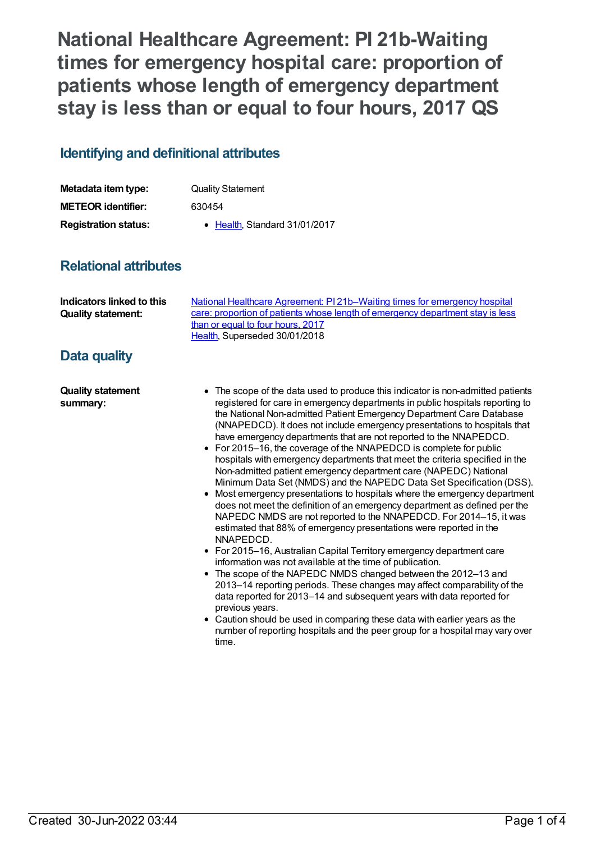**National Healthcare Agreement: PI 21b-Waiting times for emergency hospital care: proportion of patients whose length of emergency department stay is less than or equal to four hours, 2017 QS**

## **Identifying and definitional attributes**

| Metadata item type:         | <b>Quality Statement</b>      |
|-----------------------------|-------------------------------|
| <b>METEOR identifier:</b>   | 630454                        |
| <b>Registration status:</b> | • Health. Standard 31/01/2017 |

## **Relational attributes**

| Indicators linked to this<br><b>Quality statement:</b> | National Healthcare Agreement: P121b–Waiting times for emergency hospital<br>care: proportion of patients whose length of emergency department stay is less |
|--------------------------------------------------------|-------------------------------------------------------------------------------------------------------------------------------------------------------------|
|                                                        | than or equal to four hours, 2017                                                                                                                           |
|                                                        | Health, Superseded 30/01/2018                                                                                                                               |
| . .<br>.                                               |                                                                                                                                                             |

## **Data quality**

**Quality statement summary:**

- The scope of the data used to produce this indicator is non-admitted patients registered for care in emergency departments in public hospitals reporting to the National Non-admitted Patient Emergency Department Care Database (NNAPEDCD). It does not include emergency presentations to hospitals that have emergency departments that are not reported to the NNAPEDCD.
- For 2015–16, the coverage of the NNAPEDCD is complete for public hospitals with emergency departments that meet the criteria specified in the Non-admitted patient emergency department care (NAPEDC) National Minimum Data Set (NMDS) and the NAPEDC Data Set Specification (DSS).
- Most emergency presentations to hospitals where the emergency department does not meet the definition of an emergency department as defined per the NAPEDC NMDS are not reported to the NNAPEDCD. For 2014–15, it was estimated that 88% of emergency presentations were reported in the NNAPEDCD.
- For 2015–16, Australian Capital Territory emergency department care information was not available at the time of publication.
- The scope of the NAPEDC NMDS changed between the 2012–13 and 2013–14 reporting periods. These changes may affect comparability of the data reported for 2013–14 and subsequent years with data reported for previous years.
- Caution should be used in comparing these data with earlier years as the number of reporting hospitals and the peer group for a hospital may vary over time.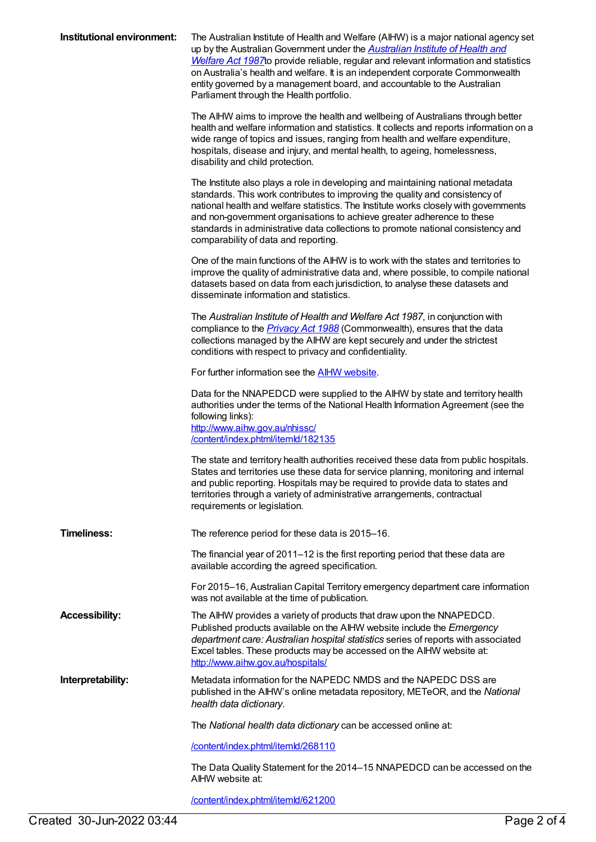| Institutional environment: | The Australian Institute of Health and Welfare (AIHW) is a major national agency set<br>up by the Australian Government under the <b>Australian Institute of Health and</b><br>Welfare Act 1987 to provide reliable, regular and relevant information and statistics<br>on Australia's health and welfare. It is an independent corporate Commonwealth<br>entity governed by a management board, and accountable to the Australian<br>Parliament through the Health portfolio. |
|----------------------------|--------------------------------------------------------------------------------------------------------------------------------------------------------------------------------------------------------------------------------------------------------------------------------------------------------------------------------------------------------------------------------------------------------------------------------------------------------------------------------|
|                            | The AIHW aims to improve the health and wellbeing of Australians through better<br>health and welfare information and statistics. It collects and reports information on a<br>wide range of topics and issues, ranging from health and welfare expenditure,<br>hospitals, disease and injury, and mental health, to ageing, homelessness,<br>disability and child protection.                                                                                                  |
|                            | The Institute also plays a role in developing and maintaining national metadata<br>standards. This work contributes to improving the quality and consistency of<br>national health and welfare statistics. The Institute works closely with governments<br>and non-government organisations to achieve greater adherence to these<br>standards in administrative data collections to promote national consistency and<br>comparability of data and reporting.                  |
|                            | One of the main functions of the AIHW is to work with the states and territories to<br>improve the quality of administrative data and, where possible, to compile national<br>datasets based on data from each jurisdiction, to analyse these datasets and<br>disseminate information and statistics.                                                                                                                                                                          |
|                            | The Australian Institute of Health and Welfare Act 1987, in conjunction with<br>compliance to the <i>Privacy Act 1988</i> (Commonwealth), ensures that the data<br>collections managed by the AIHW are kept securely and under the strictest<br>conditions with respect to privacy and confidentiality.                                                                                                                                                                        |
|                            | For further information see the <b>AIHW</b> website.                                                                                                                                                                                                                                                                                                                                                                                                                           |
|                            | Data for the NNAPEDCD were supplied to the AIHW by state and territory health<br>authorities under the terms of the National Health Information Agreement (see the<br>following links):<br>http://www.aihw.gov.au/nhissc/<br>/content/index.phtml/itemld/182135                                                                                                                                                                                                                |
|                            | The state and territory health authorities received these data from public hospitals.<br>States and territories use these data for service planning, monitoring and internal<br>and public reporting. Hospitals may be required to provide data to states and<br>territories through a variety of administrative arrangements, contractual<br>requirements or legislation.                                                                                                     |
| <b>Timeliness:</b>         | The reference period for these data is 2015-16.                                                                                                                                                                                                                                                                                                                                                                                                                                |
|                            | The financial year of 2011–12 is the first reporting period that these data are<br>available according the agreed specification.                                                                                                                                                                                                                                                                                                                                               |
|                            | For 2015–16, Australian Capital Territory emergency department care information<br>was not available at the time of publication.                                                                                                                                                                                                                                                                                                                                               |
| <b>Accessibility:</b>      | The AIHW provides a variety of products that draw upon the NNAPEDCD.<br>Published products available on the AIHW website include the Emergency<br>department care: Australian hospital statistics series of reports with associated<br>Excel tables. These products may be accessed on the AIHW website at:<br>http://www.aihw.gov.au/hospitals/                                                                                                                               |
| Interpretability:          | Metadata information for the NAPEDC NMDS and the NAPEDC DSS are<br>published in the AIHW's online metadata repository, METeOR, and the National<br>health data dictionary.                                                                                                                                                                                                                                                                                                     |
|                            | The National health data dictionary can be accessed online at:                                                                                                                                                                                                                                                                                                                                                                                                                 |
|                            | /content/index.phtml/itemld/268110                                                                                                                                                                                                                                                                                                                                                                                                                                             |
|                            | The Data Quality Statement for the 2014-15 NNAPEDCD can be accessed on the<br>AIHW website at:                                                                                                                                                                                                                                                                                                                                                                                 |

[/content/index.phtml/itemId/621200](file:///content/621200)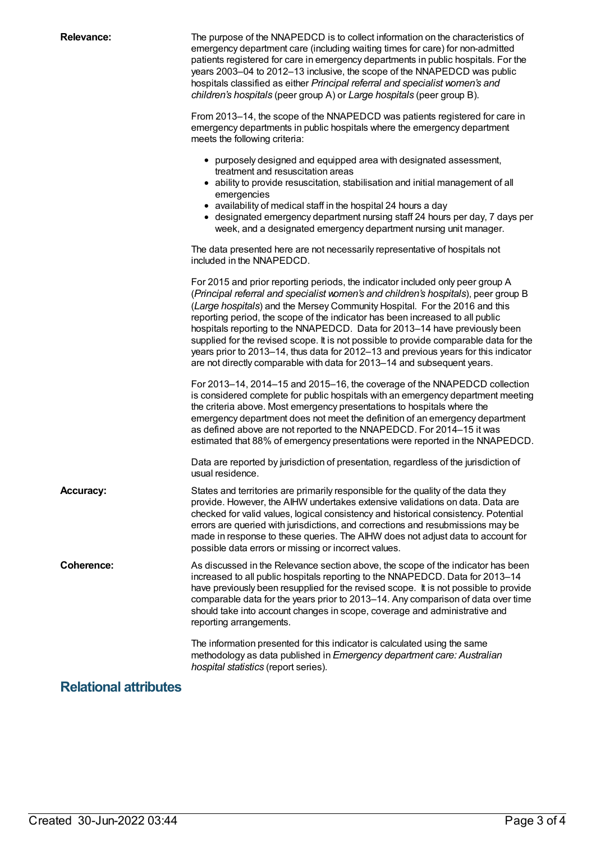**Relevance:** The purpose of the NNAPEDCD is to collect information on the characteristics of emergency department care (including waiting times for care) for non-admitted patients registered for care in emergency departments in public hospitals. For the years 2003–04 to 2012–13 inclusive, the scope of the NNAPEDCD was public hospitals classified as either *Principal referral and specialist women's and children's hospitals* (peer group A) or *Large hospitals* (peer group B). From 2013–14, the scope of the NNAPEDCD was patients registered for care in emergency departments in public hospitals where the emergency department meets the following criteria: purposely designed and equipped area with designated assessment, treatment and resuscitation areas ability to provide resuscitation, stabilisation and initial management of all emergencies availability of medical staff in the hospital 24 hours a day designated emergency department nursing staff 24 hours per day, 7 days per week, and a designated emergency department nursing unit manager. The data presented here are not necessarily representative of hospitals not included in the NNAPEDCD. For 2015 and prior reporting periods, the indicator included only peer group A (*Principal referral and specialist women's and children's hospitals*), peer group B (*Large hospitals*) and the Mersey Community Hospital. For the 2016 and this reporting period, the scope of the indicator has been increased to all public hospitals reporting to the NNAPEDCD. Data for 2013–14 have previously been supplied for the revised scope. It is not possible to provide comparable data for the years prior to 2013–14, thus data for 2012–13 and previous years for this indicator are not directly comparable with data for 2013–14 and subsequent years. For 2013–14, 2014–15 and 2015–16, the coverage of the NNAPEDCD collection is considered complete for public hospitals with an emergency department meeting the criteria above. Most emergency presentations to hospitals where the emergency department does not meet the definition of an emergency department as defined above are not reported to the NNAPEDCD. For 2014–15 it was estimated that 88% of emergency presentations were reported in the NNAPEDCD. Data are reported by jurisdiction of presentation, regardless of the jurisdiction of usual residence. **Accuracy:** States and territories are primarily responsible for the quality of the data they provide. However, the AIHW undertakes extensive validations on data. Data are checked for valid values, logical consistency and historical consistency. Potential errors are queried with jurisdictions, and corrections and resubmissions may be made in response to these queries. The AIHW does not adjust data to account for possible data errors or missing or incorrect values. **Coherence:** As discussed in the Relevance section above, the scope of the indicator has been increased to all public hospitals reporting to the NNAPEDCD. Data for 2013–14 have previously been resupplied for the revised scope. It is not possible to provide comparable data for the years prior to 2013–14. Any comparison of data over time should take into account changes in scope, coverage and administrative and reporting arrangements. The information presented for this indicator is calculated using the same methodology as data published in *Emergency department care: Australian hospital statistics* (report series).

## **Relational attributes**